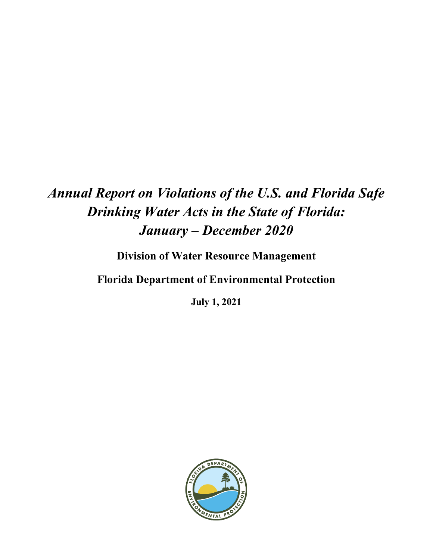# *Annual Report on Violations of the U.S. and Florida Safe Drinking Water Acts in the State of Florida: January – December 2020*

**Division of Water Resource Management**

**Florida Department of Environmental Protection**

**July 1, 2021**

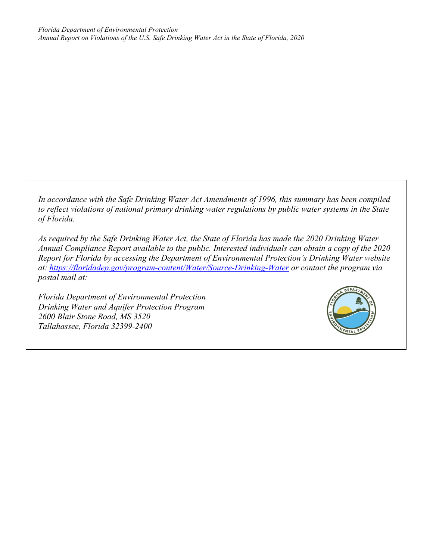*In accordance with the Safe Drinking Water Act Amendments of 1996, this summary has been compiled to reflect violations of national primary drinking water regulations by public water systems in the State of Florida.* 

*As required by the Safe Drinking Water Act, the State of Florida has made the 2020 Drinking Water Annual Compliance Report available to the public. Interested individuals can obtain a copy of the 2020 Report for Florida by accessing the Department of Environmental Protection's Drinking Water website at: <https://floridadep.gov/program-content/Water/Source-Drinking-Water> or contact the program via postal mail at:*

*Florida Department of Environmental Protection Drinking Water and Aquifer Protection Program 2600 Blair Stone Road, MS 3520 Tallahassee, Florida 32399-2400*

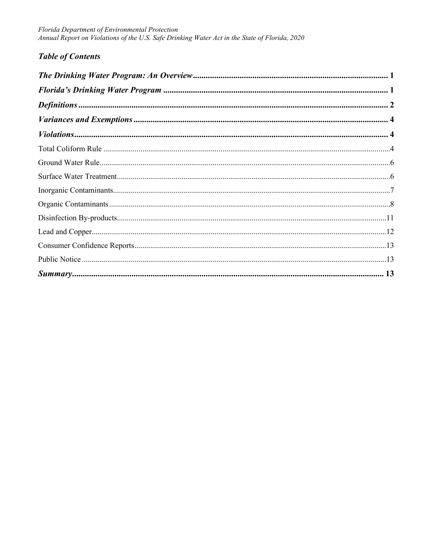# **Table of Contents**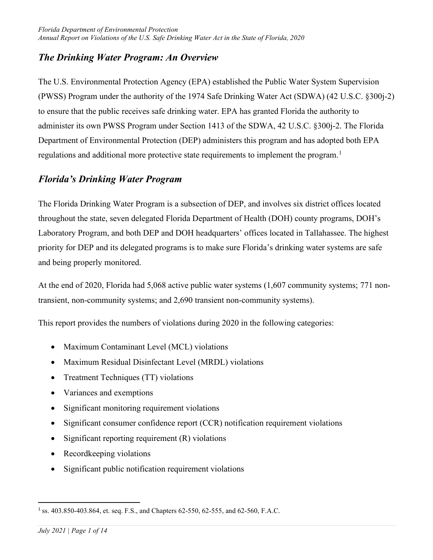# <span id="page-3-0"></span>*The Drinking Water Program: An Overview*

The U.S. Environmental Protection Agency (EPA) established the Public Water System Supervision (PWSS) Program under the authority of the 1974 Safe Drinking Water Act (SDWA) (42 U.S.C. §300j-2) to ensure that the public receives safe drinking water. EPA has granted Florida the authority to administer its own PWSS Program under Section 1413 of the SDWA, 42 U.S.C. §300j-2. The Florida Department of Environmental Protection (DEP) administers this program and has adopted both EPA regulations and additional more protective state requirements to implement the program.<sup>[1](#page-3-2)</sup>

# <span id="page-3-1"></span>*Florida's Drinking Water Program*

The Florida Drinking Water Program is a subsection of DEP, and involves six district offices located throughout the state, seven delegated Florida Department of Health (DOH) county programs, DOH's Laboratory Program, and both DEP and DOH headquarters' offices located in Tallahassee. The highest priority for DEP and its delegated programs is to make sure Florida's drinking water systems are safe and being properly monitored.

At the end of 2020, Florida had 5,068 active public water systems (1,607 community systems; 771 nontransient, non-community systems; and 2,690 transient non-community systems).

This report provides the numbers of violations during 2020 in the following categories:

- Maximum Contaminant Level (MCL) violations
- Maximum Residual Disinfectant Level (MRDL) violations
- Treatment Techniques (TT) violations
- Variances and exemptions
- Significant monitoring requirement violations
- Significant consumer confidence report (CCR) notification requirement violations
- Significant reporting requirement (R) violations
- Recordkeeping violations
- Significant public notification requirement violations

<span id="page-3-2"></span><sup>1</sup> ss. 403.850-403.864, et. seq. F.S., and Chapters 62-550, 62-555, and 62-560, F.A.C.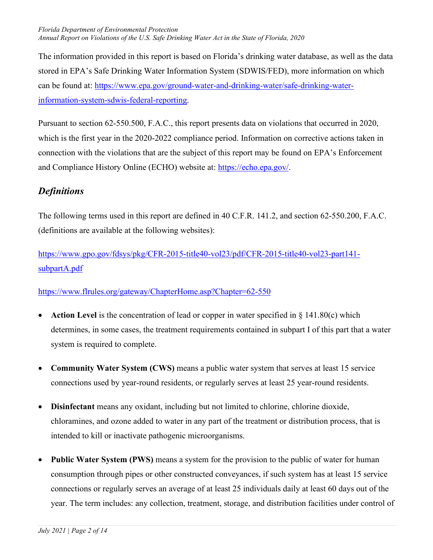#### *Florida Department of Environmental Protection Annual Report on Violations of the U.S. Safe Drinking Water Act in the State of Florida, 2020*

The information provided in this report is based on Florida's drinking water database, as well as the data stored in EPA's Safe Drinking Water Information System (SDWIS/FED), more information on which can be found at: [https://www.epa.gov/ground-water-and-drinking-water/safe-drinking-water](https://www.epa.gov/ground-water-and-drinking-water/safe-drinking-water-information-system-sdwis-federal-reporting)[information-system-sdwis-federal-reporting.](https://www.epa.gov/ground-water-and-drinking-water/safe-drinking-water-information-system-sdwis-federal-reporting)

Pursuant to section 62-550.500, F.A.C., this report presents data on violations that occurred in 2020, which is the first year in the 2020-2022 compliance period. Information on corrective actions taken in connection with the violations that are the subject of this report may be found on EPA's Enforcement and Compliance History Online (ECHO) website at: [https://echo.epa.gov/.](https://echo.epa.gov/)

# <span id="page-4-0"></span>*Definitions*

The following terms used in this report are defined in 40 C.F.R. 141.2, and section 62-550.200, F.A.C. (definitions are available at the following websites):

[https://www.gpo.gov/fdsys/pkg/CFR-2015-title40-vol23/pdf/CFR-2015-title40-vol23-part141](https://www.gpo.gov/fdsys/pkg/CFR-2015-title40-vol23/pdf/CFR-2015-title40-vol23-part141-subpartA.pdf) [subpartA.pdf](https://www.gpo.gov/fdsys/pkg/CFR-2015-title40-vol23/pdf/CFR-2015-title40-vol23-part141-subpartA.pdf)

## <https://www.flrules.org/gateway/ChapterHome.asp?Chapter=62-550>

- **Action Level** is the concentration of lead or copper in water specified in § 141.80(c) which determines, in some cases, the treatment requirements contained in subpart I of this part that a water system is required to complete.
- **Community Water System (CWS)** means a public water system that serves at least 15 service connections used by year-round residents, or regularly serves at least 25 year-round residents.
- **Disinfectant** means any oxidant, including but not limited to chlorine, chlorine dioxide, chloramines, and ozone added to water in any part of the treatment or distribution process, that is intended to kill or inactivate pathogenic microorganisms.
- **Public Water System (PWS)** means a system for the provision to the public of water for human consumption through pipes or other constructed conveyances, if such system has at least 15 service connections or regularly serves an average of at least 25 individuals daily at least 60 days out of the year. The term includes: any collection, treatment, storage, and distribution facilities under control of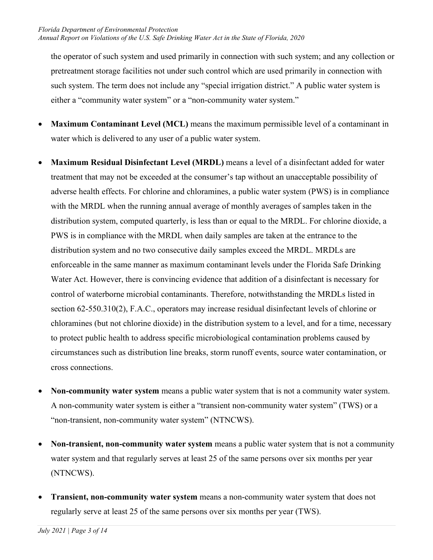the operator of such system and used primarily in connection with such system; and any collection or pretreatment storage facilities not under such control which are used primarily in connection with such system. The term does not include any "special irrigation district." A public water system is either a "community water system" or a "non-community water system."

- **Maximum Contaminant Level (MCL)** means the maximum permissible level of a contaminant in water which is delivered to any user of a public water system.
- **Maximum Residual Disinfectant Level (MRDL)** means a level of a disinfectant added for water treatment that may not be exceeded at the consumer's tap without an unacceptable possibility of adverse health effects. For chlorine and chloramines, a public water system (PWS) is in compliance with the MRDL when the running annual average of monthly averages of samples taken in the distribution system, computed quarterly, is less than or equal to the MRDL. For chlorine dioxide, a PWS is in compliance with the MRDL when daily samples are taken at the entrance to the distribution system and no two consecutive daily samples exceed the MRDL. MRDLs are enforceable in the same manner as maximum contaminant levels under the Florida Safe Drinking Water Act. However, there is convincing evidence that addition of a disinfectant is necessary for control of waterborne microbial contaminants. Therefore, notwithstanding the MRDLs listed in section 62-550.310(2), F.A.C., operators may increase residual disinfectant levels of chlorine or chloramines (but not chlorine dioxide) in the distribution system to a level, and for a time, necessary to protect public health to address specific microbiological contamination problems caused by circumstances such as distribution line breaks, storm runoff events, source water contamination, or cross connections.
- **Non-community water system** means a public water system that is not a community water system. A non-community water system is either a "transient non-community water system" (TWS) or a "non-transient, non-community water system" (NTNCWS).
- **Non-transient, non-community water system** means a public water system that is not a community water system and that regularly serves at least 25 of the same persons over six months per year (NTNCWS).
- **Transient, non-community water system** means a non-community water system that does not regularly serve at least 25 of the same persons over six months per year (TWS).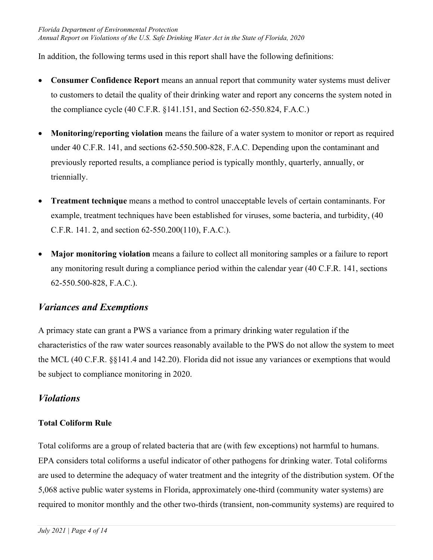In addition, the following terms used in this report shall have the following definitions:

- **Consumer Confidence Report** means an annual report that community water systems must deliver to customers to detail the quality of their drinking water and report any concerns the system noted in the compliance cycle (40 C.F.R. §141.151, and Section 62-550.824, F.A.C.)
- **Monitoring/reporting violation** means the failure of a water system to monitor or report as required under 40 C.F.R. 141, and sections 62-550.500-828, F.A.C. Depending upon the contaminant and previously reported results, a compliance period is typically monthly, quarterly, annually, or triennially.
- **Treatment technique** means a method to control unacceptable levels of certain contaminants. For example, treatment techniques have been established for viruses, some bacteria, and turbidity, (40 C.F.R. 141. 2, and section 62-550.200(110), F.A.C.).
- **Major monitoring violation** means a failure to collect all monitoring samples or a failure to report any monitoring result during a compliance period within the calendar year (40 C.F.R. 141, sections 62-550.500-828, F.A.C.).

# <span id="page-6-0"></span>*Variances and Exemptions*

A primacy state can grant a PWS a variance from a primary drinking water regulation if the characteristics of the raw water sources reasonably available to the PWS do not allow the system to meet the MCL (40 C.F.R. §§141.4 and 142.20). Florida did not issue any variances or exemptions that would be subject to compliance monitoring in 2020.

# <span id="page-6-1"></span>*Violations*

## <span id="page-6-2"></span>**Total Coliform Rule**

Total coliforms are a group of related bacteria that are (with few exceptions) not harmful to humans. EPA considers total coliforms a useful indicator of other pathogens for drinking water. Total coliforms are used to determine the adequacy of water treatment and the integrity of the distribution system. Of the 5,068 active public water systems in Florida, approximately one-third (community water systems) are required to monitor monthly and the other two-thirds (transient, non-community systems) are required to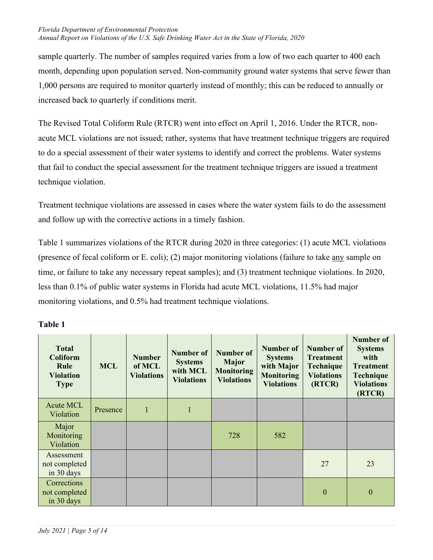#### *Florida Department of Environmental Protection Annual Report on Violations of the U.S. Safe Drinking Water Act in the State of Florida, 2020*

sample quarterly. The number of samples required varies from a low of two each quarter to 400 each month, depending upon population served. Non-community ground water systems that serve fewer than 1,000 persons are required to monitor quarterly instead of monthly; this can be reduced to annually or increased back to quarterly if conditions merit.

The Revised Total Coliform Rule (RTCR) went into effect on April 1, 2016. Under the RTCR, nonacute MCL violations are not issued; rather, systems that have treatment technique triggers are required to do a special assessment of their water systems to identify and correct the problems. Water systems that fail to conduct the special assessment for the treatment technique triggers are issued a treatment technique violation.

Treatment technique violations are assessed in cases where the water system fails to do the assessment and follow up with the corrective actions in a timely fashion.

Table 1 summarizes violations of the RTCR during 2020 in three categories: (1) acute MCL violations (presence of fecal coliform or E. coli); (2) major monitoring violations (failure to take any sample on time, or failure to take any necessary repeat samples); and (3) treatment technique violations. In 2020, less than 0.1% of public water systems in Florida had acute MCL violations, 11.5% had major monitoring violations, and 0.5% had treatment technique violations.

| <b>Total</b><br><b>Coliform</b><br>Rule<br><b>Violation</b><br><b>Type</b> | <b>MCL</b> | <b>Number</b><br>of MCL<br><b>Violations</b> | <b>Number of</b><br><b>Systems</b><br>with MCL<br><b>Violations</b> | <b>Number of</b><br><b>Major</b><br><b>Monitoring</b><br><b>Violations</b> | <b>Number of</b><br><b>Systems</b><br>with Major<br><b>Monitoring</b><br><b>Violations</b> | <b>Number of</b><br><b>Treatment</b><br>Technique<br><b>Violations</b><br>(RTCR) | <b>Number of</b><br><b>Systems</b><br>with<br><b>Treatment</b><br><b>Technique</b><br><b>Violations</b><br>(RTCR) |
|----------------------------------------------------------------------------|------------|----------------------------------------------|---------------------------------------------------------------------|----------------------------------------------------------------------------|--------------------------------------------------------------------------------------------|----------------------------------------------------------------------------------|-------------------------------------------------------------------------------------------------------------------|
| <b>Acute MCL</b><br>Violation                                              | Presence   | $\mathbf{1}$                                 | $\mathbf{1}$                                                        |                                                                            |                                                                                            |                                                                                  |                                                                                                                   |
| Major<br>Monitoring<br>Violation                                           |            |                                              |                                                                     | 728                                                                        | 582                                                                                        |                                                                                  |                                                                                                                   |
| Assessment<br>not completed<br>in 30 days                                  |            |                                              |                                                                     |                                                                            |                                                                                            | 27                                                                               | 23                                                                                                                |
| Corrections<br>not completed<br>in 30 days                                 |            |                                              |                                                                     |                                                                            |                                                                                            | $\mathbf{0}$                                                                     | $\mathbf{0}$                                                                                                      |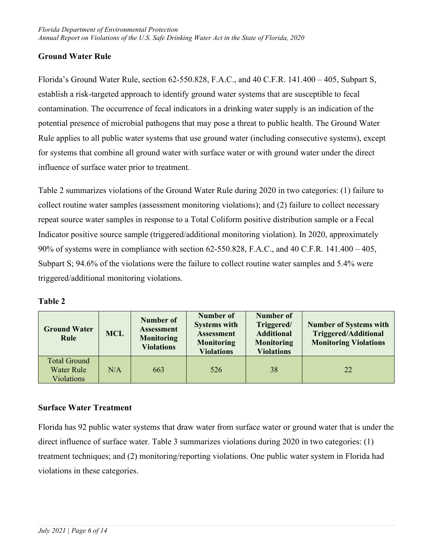#### <span id="page-8-0"></span>**Ground Water Rule**

Florida's Ground Water Rule, section 62-550.828, F.A.C., and 40 C.F.R. 141.400 – 405, Subpart S, establish a risk-targeted approach to identify ground water systems that are susceptible to fecal contamination. The occurrence of fecal indicators in a drinking water supply is an indication of the potential presence of microbial pathogens that may pose a threat to public health. The Ground Water Rule applies to all public water systems that use ground water (including consecutive systems), except for systems that combine all ground water with surface water or with ground water under the direct influence of surface water prior to treatment.

Table 2 summarizes violations of the Ground Water Rule during 2020 in two categories: (1) failure to collect routine water samples (assessment monitoring violations); and (2) failure to collect necessary repeat source water samples in response to a Total Coliform positive distribution sample or a Fecal Indicator positive source sample (triggered/additional monitoring violation). In 2020, approximately 90% of systems were in compliance with section 62-550.828, F.A.C., and 40 C.F.R. 141.400 – 405, Subpart S; 94.6% of the violations were the failure to collect routine water samples and 5.4% were triggered/additional monitoring violations.

| <b>Ground Water</b><br>Rule                            | <b>MCL</b> | Number of<br><b>Assessment</b><br><b>Monitoring</b><br><b>Violations</b> | Number of<br><b>Systems with</b><br><b>Assessment</b><br><b>Monitoring</b><br><b>Violations</b> | <b>Number of</b><br>Triggered/<br><b>Additional</b><br><b>Monitoring</b><br><b>Violations</b> | <b>Number of Systems with</b><br><b>Triggered/Additional</b><br><b>Monitoring Violations</b> |
|--------------------------------------------------------|------------|--------------------------------------------------------------------------|-------------------------------------------------------------------------------------------------|-----------------------------------------------------------------------------------------------|----------------------------------------------------------------------------------------------|
| Total Ground<br><b>Water Rule</b><br><b>Violations</b> | N/A        | 663                                                                      | 526                                                                                             | 38                                                                                            | 22                                                                                           |

| ۱nı<br>П<br>π<br>ı |
|--------------------|
|--------------------|

#### <span id="page-8-1"></span>**Surface Water Treatment**

Florida has 92 public water systems that draw water from surface water or ground water that is under the direct influence of surface water. Table 3 summarizes violations during 2020 in two categories: (1) treatment techniques; and (2) monitoring/reporting violations. One public water system in Florida had violations in these categories.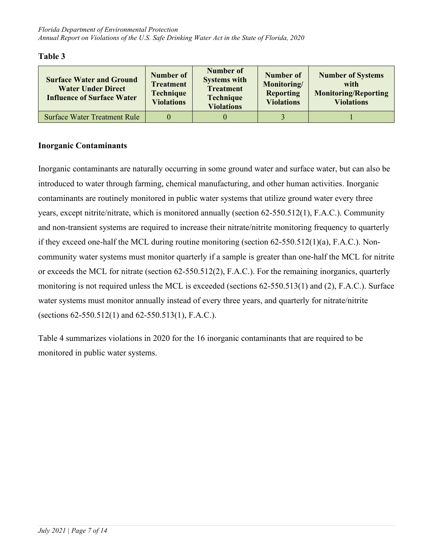| <b>Surface Water and Ground</b><br><b>Water Under Direct</b><br><b>Influence of Surface Water</b> | Number of<br><b>Treatment</b><br><b>Technique</b><br><b>Violations</b> | Number of<br><b>Systems with</b><br><b>Treatment</b><br><b>Technique</b><br><b>Violations</b> | Number of<br>Monitoring/<br><b>Reporting</b><br><b>Violations</b> | <b>Number of Systems</b><br>with<br><b>Monitoring/Reporting</b><br><b>Violations</b> |
|---------------------------------------------------------------------------------------------------|------------------------------------------------------------------------|-----------------------------------------------------------------------------------------------|-------------------------------------------------------------------|--------------------------------------------------------------------------------------|
| <b>Surface Water Treatment Rule</b>                                                               |                                                                        |                                                                                               |                                                                   |                                                                                      |

#### <span id="page-9-0"></span>**Inorganic Contaminants**

Inorganic contaminants are naturally occurring in some ground water and surface water, but can also be introduced to water through farming, chemical manufacturing, and other human activities. Inorganic contaminants are routinely monitored in public water systems that utilize ground water every three years, except nitrite/nitrate, which is monitored annually (section 62-550.512(1), F.A.C.). Community and non-transient systems are required to increase their nitrate/nitrite monitoring frequency to quarterly if they exceed one-half the MCL during routine monitoring (section 62-550.512(1)(a), F.A.C.). Noncommunity water systems must monitor quarterly if a sample is greater than one-half the MCL for nitrite or exceeds the MCL for nitrate (section 62-550.512(2), F.A.C.). For the remaining inorganics, quarterly monitoring is not required unless the MCL is exceeded (sections 62-550.513(1) and (2), F.A.C.). Surface water systems must monitor annually instead of every three years, and quarterly for nitrate/nitrite (sections 62-550.512(1) and 62-550.513(1), F.A.C.).

Table 4 summarizes violations in 2020 for the 16 inorganic contaminants that are required to be monitored in public water systems.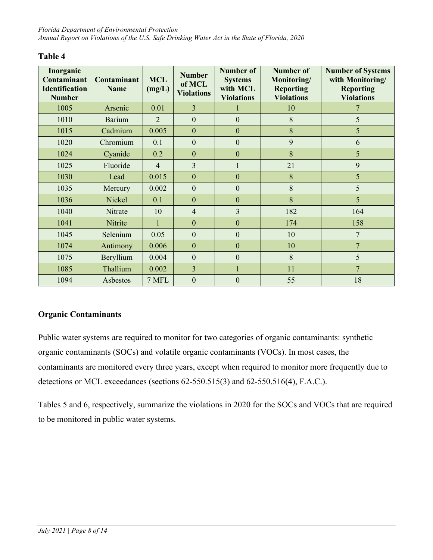| Inorganic<br><b>Contaminant</b><br><b>Identification</b><br><b>Number</b> | Contaminant<br><b>Name</b> | <b>MCL</b><br>(mg/L) | <b>Number</b><br>of MCL<br><b>Violations</b> | <b>Number of</b><br><b>Systems</b><br>with MCL<br><b>Violations</b> | <b>Number of</b><br>Monitoring/<br><b>Reporting</b><br><b>Violations</b> | <b>Number of Systems</b><br>with Monitoring/<br><b>Reporting</b><br><b>Violations</b> |
|---------------------------------------------------------------------------|----------------------------|----------------------|----------------------------------------------|---------------------------------------------------------------------|--------------------------------------------------------------------------|---------------------------------------------------------------------------------------|
| 1005                                                                      | Arsenic                    | 0.01                 | $\overline{3}$                               |                                                                     | 10                                                                       | 7                                                                                     |
| 1010                                                                      | <b>Barium</b>              | $\overline{2}$       | $\overline{0}$                               | $\mathbf{0}$                                                        | 8                                                                        | 5                                                                                     |
| 1015                                                                      | Cadmium                    | 0.005                | $\overline{0}$                               | $\mathbf{0}$                                                        | 8                                                                        | 5                                                                                     |
| 1020                                                                      | Chromium                   | 0.1                  | $\overline{0}$                               | $\mathbf{0}$                                                        | 9                                                                        | 6                                                                                     |
| 1024                                                                      | Cyanide                    | 0.2                  | $\overline{0}$                               | $\mathbf{0}$                                                        | 8                                                                        | 5                                                                                     |
| 1025                                                                      | Fluoride                   | $\overline{4}$       | $\overline{3}$                               | $\mathbf{1}$                                                        | 21                                                                       | 9                                                                                     |
| 1030                                                                      | Lead                       | 0.015                | $\boldsymbol{0}$                             | $\mathbf{0}$                                                        | 8                                                                        | 5                                                                                     |
| 1035                                                                      | Mercury                    | 0.002                | $\mathbf{0}$                                 | $\mathbf{0}$                                                        | 8                                                                        | 5                                                                                     |
| 1036                                                                      | Nickel                     | 0.1                  | $\overline{0}$                               | $\mathbf{0}$                                                        | 8                                                                        | 5                                                                                     |
| 1040                                                                      | Nitrate                    | 10                   | $\overline{4}$                               | $\overline{3}$                                                      | 182                                                                      | 164                                                                                   |
| 1041                                                                      | Nitrite                    |                      | $\overline{0}$                               | $\mathbf{0}$                                                        | 174                                                                      | 158                                                                                   |
| 1045                                                                      | Selenium                   | 0.05                 | $\mathbf{0}$                                 | $\mathbf{0}$                                                        | 10                                                                       | 7                                                                                     |
| 1074                                                                      | Antimony                   | 0.006                | $\overline{0}$                               | $\mathbf{0}$                                                        | 10                                                                       | $\overline{7}$                                                                        |
| 1075                                                                      | Beryllium                  | 0.004                | $\overline{0}$                               | $\mathbf{0}$                                                        | 8                                                                        | 5                                                                                     |
| 1085                                                                      | Thallium                   | 0.002                | $\overline{3}$                               | $\mathbf{1}$                                                        | 11                                                                       | $\overline{7}$                                                                        |
| 1094                                                                      | Asbestos                   | 7 MFL                | $\overline{0}$                               | $\overline{0}$                                                      | 55                                                                       | 18                                                                                    |

## <span id="page-10-0"></span>**Organic Contaminants**

Public water systems are required to monitor for two categories of organic contaminants: synthetic organic contaminants (SOCs) and volatile organic contaminants (VOCs). In most cases, the contaminants are monitored every three years, except when required to monitor more frequently due to detections or MCL exceedances (sections 62-550.515(3) and 62-550.516(4), F.A.C.).

Tables 5 and 6, respectively, summarize the violations in 2020 for the SOCs and VOCs that are required to be monitored in public water systems.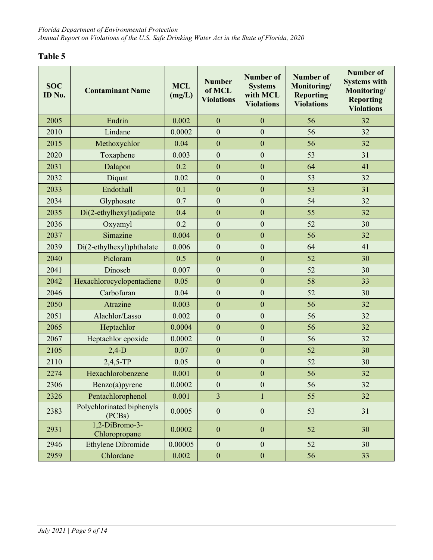| <b>SOC</b><br>ID No. | <b>Contaminant Name</b>             | <b>MCL</b><br>(mg/L) | <b>Number</b><br>of MCL<br><b>Violations</b> | <b>Number of</b><br><b>Systems</b><br>with MCL<br><b>Violations</b> | <b>Number of</b><br>Monitoring/<br><b>Reporting</b><br><b>Violations</b> | <b>Number of</b><br><b>Systems with</b><br>Monitoring/<br><b>Reporting</b><br><b>Violations</b> |
|----------------------|-------------------------------------|----------------------|----------------------------------------------|---------------------------------------------------------------------|--------------------------------------------------------------------------|-------------------------------------------------------------------------------------------------|
| 2005                 | Endrin                              | 0.002                | $\overline{0}$                               | $\overline{0}$                                                      | 56                                                                       | 32                                                                                              |
| 2010                 | Lindane                             | 0.0002               | $\mathbf{0}$                                 | $\overline{0}$                                                      | 56                                                                       | 32                                                                                              |
| 2015                 | Methoxychlor                        | 0.04                 | $\overline{0}$                               | $\overline{0}$                                                      | 56                                                                       | 32                                                                                              |
| 2020                 | Toxaphene                           | 0.003                | $\boldsymbol{0}$                             | $\boldsymbol{0}$                                                    | 53                                                                       | 31                                                                                              |
| 2031                 | Dalapon                             | 0.2                  | $\mathbf{0}$                                 | $\mathbf{0}$                                                        | 64                                                                       | 41                                                                                              |
| 2032                 | Diquat                              | 0.02                 | $\overline{0}$                               | $\overline{0}$                                                      | 53                                                                       | 32                                                                                              |
| 2033                 | Endothall                           | 0.1                  | $\mathbf{0}$                                 | $\mathbf{0}$                                                        | 53                                                                       | 31                                                                                              |
| 2034                 | Glyphosate                          | 0.7                  | $\mathbf{0}$                                 | $\mathbf{0}$                                                        | 54                                                                       | 32                                                                                              |
| 2035                 | Di(2-ethylhexyl)adipate             | 0.4                  | $\overline{0}$                               | $\mathbf{0}$                                                        | 55                                                                       | 32                                                                                              |
| 2036                 | Oxyamyl                             | 0.2                  | $\mathbf{0}$                                 | $\mathbf{0}$                                                        | 52                                                                       | 30                                                                                              |
| 2037                 | Simazine                            | 0.004                | $\mathbf{0}$                                 | $\overline{0}$                                                      | 56                                                                       | 32                                                                                              |
| 2039                 | Di(2-ethylhexyl)phthalate           | 0.006                | $\mathbf{0}$                                 | $\mathbf{0}$                                                        | 64                                                                       | 41                                                                                              |
| 2040                 | Picloram                            | 0.5                  | $\overline{0}$                               | $\mathbf{0}$                                                        | 52                                                                       | 30                                                                                              |
| 2041                 | Dinoseb                             | 0.007                | $\mathbf{0}$                                 | $\mathbf{0}$                                                        | 52                                                                       | 30                                                                                              |
| 2042                 | Hexachlorocyclopentadiene           | 0.05                 | $\overline{0}$                               | $\overline{0}$                                                      | 58                                                                       | 33                                                                                              |
| 2046                 | Carbofuran                          | 0.04                 | $\mathbf{0}$                                 | $\mathbf{0}$                                                        | 52                                                                       | 30                                                                                              |
| 2050                 | Atrazine                            | 0.003                | $\mathbf{0}$                                 | $\mathbf{0}$                                                        | 56                                                                       | 32                                                                                              |
| 2051                 | Alachlor/Lasso                      | 0.002                | $\mathbf{0}$                                 | $\overline{0}$                                                      | 56                                                                       | 32                                                                                              |
| 2065                 | Heptachlor                          | 0.0004               | $\mathbf{0}$                                 | $\mathbf{0}$                                                        | 56                                                                       | 32                                                                                              |
| 2067                 | Heptachlor epoxide                  | 0.0002               | $\overline{0}$                               | $\overline{0}$                                                      | 56                                                                       | 32                                                                                              |
| 2105                 | $2,4-D$                             | 0.07                 | $\mathbf{0}$                                 | $\mathbf{0}$                                                        | 52                                                                       | 30                                                                                              |
| 2110                 | $2,4,5$ -TP                         | 0.05                 | $\boldsymbol{0}$                             | $\mathbf{0}$                                                        | 52                                                                       | 30                                                                                              |
| 2274                 | Hexachlorobenzene                   | 0.001                | $\mathbf{0}$                                 | $\mathbf{0}$                                                        | 56                                                                       | 32                                                                                              |
| 2306                 | Benzo(a)pyrene                      | 0.0002               | $\boldsymbol{0}$                             | $\boldsymbol{0}$                                                    | 56                                                                       | 32                                                                                              |
| 2326                 | Pentachlorophenol                   | 0.001                | $\overline{3}$                               | 1                                                                   | 55                                                                       | 32                                                                                              |
| 2383                 | Polychlorinated biphenyls<br>(PCBs) | 0.0005               | $\boldsymbol{0}$                             | $\boldsymbol{0}$                                                    | 53                                                                       | 31                                                                                              |
| 2931                 | $1,2$ -DiBromo-3-<br>Chloropropane  | 0.0002               | $\boldsymbol{0}$                             | $\boldsymbol{0}$                                                    | 52                                                                       | 30                                                                                              |
| 2946                 | <b>Ethylene Dibromide</b>           | 0.00005              | $\boldsymbol{0}$                             | $\boldsymbol{0}$                                                    | 52                                                                       | 30                                                                                              |
| 2959                 | Chlordane                           | 0.002                | $\boldsymbol{0}$                             | $\mathbf{0}$                                                        | 56                                                                       | 33                                                                                              |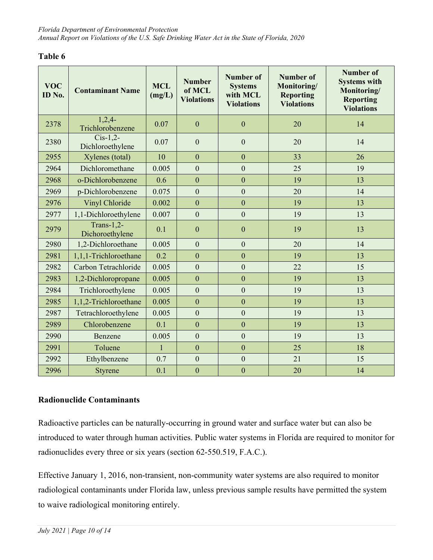| <b>VOC</b><br>ID No. | <b>Contaminant Name</b>           | <b>MCL</b><br>(mg/L) | <b>Number</b><br>of MCL<br><b>Violations</b> | <b>Number of</b><br><b>Systems</b><br>with MCL<br><b>Violations</b> | <b>Number of</b><br>Monitoring/<br><b>Reporting</b><br><b>Violations</b> | <b>Number of</b><br><b>Systems with</b><br>Monitoring/<br><b>Reporting</b><br><b>Violations</b> |
|----------------------|-----------------------------------|----------------------|----------------------------------------------|---------------------------------------------------------------------|--------------------------------------------------------------------------|-------------------------------------------------------------------------------------------------|
| 2378                 | $1,2,4-$<br>Trichlorobenzene      | 0.07                 | $\mathbf{0}$                                 | $\mathbf{0}$                                                        | 20                                                                       | 14                                                                                              |
| 2380                 | $Cis-1,2$ -<br>Dichloroethylene   | 0.07                 | $\mathbf{0}$                                 | $\boldsymbol{0}$                                                    | 20                                                                       | 14                                                                                              |
| 2955                 | Xylenes (total)                   | 10                   | $\overline{0}$                               | $\overline{0}$                                                      | 33                                                                       | 26                                                                                              |
| 2964                 | Dichloromethane                   | 0.005                | $\overline{0}$                               | $\mathbf{0}$                                                        | 25                                                                       | 19                                                                                              |
| 2968                 | o-Dichlorobenzene                 | 0.6                  | $\overline{0}$                               | $\overline{0}$                                                      | 19                                                                       | 13                                                                                              |
| 2969                 | p-Dichlorobenzene                 | 0.075                | $\overline{0}$                               | $\mathbf{0}$                                                        | 20                                                                       | 14                                                                                              |
| 2976                 | Vinyl Chloride                    | 0.002                | $\overline{0}$                               | $\overline{0}$                                                      | 19                                                                       | 13                                                                                              |
| 2977                 | 1,1-Dichloroethylene              | 0.007                | $\overline{0}$                               | $\mathbf{0}$                                                        | 19                                                                       | 13                                                                                              |
| 2979                 | Trans- $1,2$ -<br>Dichoroethylene | 0.1                  | $\overline{0}$                               | $\mathbf{0}$                                                        | 19                                                                       | 13                                                                                              |
| 2980                 | 1,2-Dichloroethane                | 0.005                | $\overline{0}$                               | $\theta$                                                            | 20                                                                       | 14                                                                                              |
| 2981                 | 1,1,1-Trichloroethane             | 0.2                  | $\overline{0}$                               | $\mathbf{0}$                                                        | 19                                                                       | 13                                                                                              |
| 2982                 | Carbon Tetrachloride              | 0.005                | $\overline{0}$                               | $\overline{0}$                                                      | 22                                                                       | 15                                                                                              |
| 2983                 | 1,2-Dichloropropane               | 0.005                | $\mathbf{0}$                                 | $\mathbf{0}$                                                        | 19                                                                       | 13                                                                                              |
| 2984                 | Trichloroethylene                 | 0.005                | $\overline{0}$                               | $\overline{0}$                                                      | 19                                                                       | 13                                                                                              |
| 2985                 | 1,1,2-Trichloroethane             | 0.005                | $\overline{0}$                               | $\overline{0}$                                                      | 19                                                                       | 13                                                                                              |
| 2987                 | Tetrachloroethylene               | 0.005                | $\overline{0}$                               | $\overline{0}$                                                      | 19                                                                       | 13                                                                                              |
| 2989                 | Chlorobenzene                     | 0.1                  | $\overline{0}$                               | $\overline{0}$                                                      | 19                                                                       | 13                                                                                              |
| 2990                 | Benzene                           | 0.005                | $\overline{0}$                               | $\overline{0}$                                                      | 19                                                                       | 13                                                                                              |
| 2991                 | Toluene                           | $\mathbf{1}$         | $\overline{0}$                               | $\overline{0}$                                                      | 25                                                                       | 18                                                                                              |
| 2992                 | Ethylbenzene                      | 0.7                  | $\overline{0}$                               | $\overline{0}$                                                      | 21                                                                       | 15                                                                                              |
| 2996                 | Styrene                           | 0.1                  | $\mathbf{0}$                                 | $\mathbf{0}$                                                        | 20                                                                       | 14                                                                                              |

#### **Radionuclide Contaminants**

Radioactive particles can be naturally-occurring in ground water and surface water but can also be introduced to water through human activities. Public water systems in Florida are required to monitor for radionuclides every three or six years (section 62-550.519, F.A.C.).

Effective January 1, 2016, non-transient, non-community water systems are also required to monitor radiological contaminants under Florida law, unless previous sample results have permitted the system to waive radiological monitoring entirely.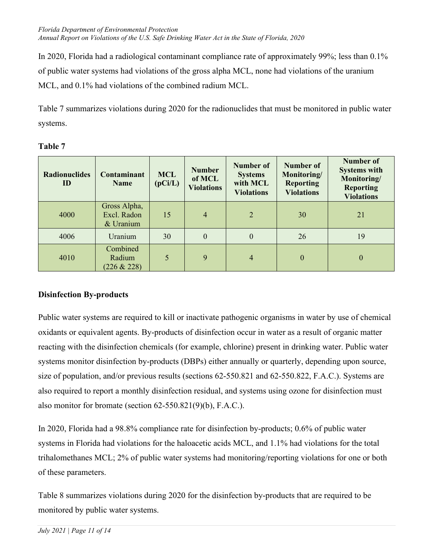In 2020, Florida had a radiological contaminant compliance rate of approximately 99%; less than 0.1% of public water systems had violations of the gross alpha MCL, none had violations of the uranium MCL, and 0.1% had violations of the combined radium MCL.

Table 7 summarizes violations during 2020 for the radionuclides that must be monitored in public water systems.

| <b>Radionuclides</b><br>ID | <b>Contaminant</b><br><b>Name</b>          | <b>MCL</b><br>(pCi/L) | <b>Number</b><br>of MCL<br><b>Violations</b> | Number of<br><b>Systems</b><br>with MCL<br><b>Violations</b> | Number of<br>Monitoring/<br><b>Reporting</b><br><b>Violations</b> | <b>Number of</b><br><b>Systems with</b><br>Monitoring/<br><b>Reporting</b><br><b>Violations</b> |
|----------------------------|--------------------------------------------|-----------------------|----------------------------------------------|--------------------------------------------------------------|-------------------------------------------------------------------|-------------------------------------------------------------------------------------------------|
| 4000                       | Gross Alpha,<br>Excl. Radon<br>$&$ Uranium | 15                    | $\overline{4}$                               | $\overline{2}$                                               | 30                                                                | 21                                                                                              |
| 4006                       | Uranium                                    | 30                    | $\theta$                                     | $\boldsymbol{0}$                                             | 26                                                                | 19                                                                                              |
| 4010                       | Combined<br>Radium<br>$(226 \& 228)$       | 5                     | 9                                            | $\overline{4}$                                               | $\theta$                                                          | $\mathbf{0}$                                                                                    |

## **Table 7**

# <span id="page-13-0"></span>**Disinfection By-products**

Public water systems are required to kill or inactivate pathogenic organisms in water by use of chemical oxidants or equivalent agents. By-products of disinfection occur in water as a result of organic matter reacting with the disinfection chemicals (for example, chlorine) present in drinking water. Public water systems monitor disinfection by-products (DBPs) either annually or quarterly, depending upon source, size of population, and/or previous results (sections 62-550.821 and 62-550.822, F.A.C.). Systems are also required to report a monthly disinfection residual, and systems using ozone for disinfection must also monitor for bromate (section 62-550.821(9)(b), F.A.C.).

In 2020, Florida had a 98.8% compliance rate for disinfection by-products; 0.6% of public water systems in Florida had violations for the haloacetic acids MCL, and 1.1% had violations for the total trihalomethanes MCL; 2% of public water systems had monitoring/reporting violations for one or both of these parameters.

Table 8 summarizes violations during 2020 for the disinfection by-products that are required to be monitored by public water systems.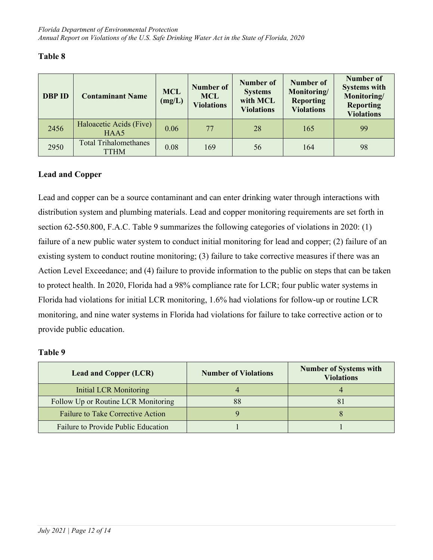| <b>DBP ID</b> | <b>Contaminant Name</b>              | <b>MCL</b><br>(mg/L) | Number of<br><b>MCL</b><br><b>Violations</b> | <b>Number of</b><br><b>Systems</b><br>with MCL<br><b>Violations</b> | <b>Number of</b><br>Monitoring/<br><b>Reporting</b><br><b>Violations</b> | <b>Number of</b><br><b>Systems with</b><br>Monitoring/<br><b>Reporting</b><br><b>Violations</b> |
|---------------|--------------------------------------|----------------------|----------------------------------------------|---------------------------------------------------------------------|--------------------------------------------------------------------------|-------------------------------------------------------------------------------------------------|
| 2456          | Haloacetic Acids (Five)<br>HAA5      | 0.06                 | 77                                           | 28                                                                  | 165                                                                      | 99                                                                                              |
| 2950          | <b>Total Trihalomethanes</b><br>TTHM | 0.08                 | 169                                          | 56                                                                  | 164                                                                      | 98                                                                                              |

#### <span id="page-14-0"></span>**Lead and Copper**

Lead and copper can be a source contaminant and can enter drinking water through interactions with distribution system and plumbing materials. Lead and copper monitoring requirements are set forth in section 62-550.800, F.A.C. Table 9 summarizes the following categories of violations in 2020: (1) failure of a new public water system to conduct initial monitoring for lead and copper; (2) failure of an existing system to conduct routine monitoring; (3) failure to take corrective measures if there was an Action Level Exceedance; and (4) failure to provide information to the public on steps that can be taken to protect health. In 2020, Florida had a 98% compliance rate for LCR; four public water systems in Florida had violations for initial LCR monitoring, 1.6% had violations for follow-up or routine LCR monitoring, and nine water systems in Florida had violations for failure to take corrective action or to provide public education.

| <b>Lead and Copper (LCR)</b>             | <b>Number of Violations</b> | <b>Number of Systems with</b><br><b>Violations</b> |
|------------------------------------------|-----------------------------|----------------------------------------------------|
| Initial LCR Monitoring                   |                             |                                                    |
| Follow Up or Routine LCR Monitoring      |                             |                                                    |
| <b>Failure to Take Corrective Action</b> |                             |                                                    |
| Failure to Provide Public Education      |                             |                                                    |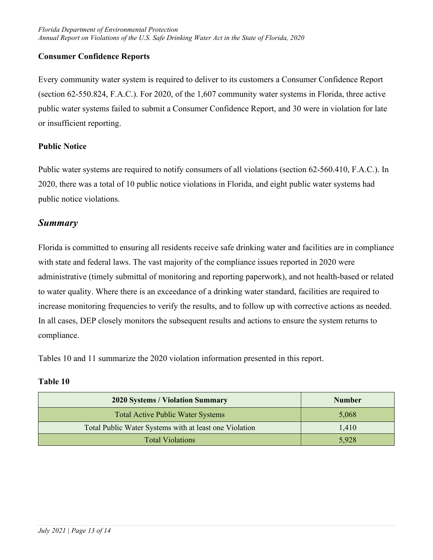## <span id="page-15-0"></span>**Consumer Confidence Reports**

Every community water system is required to deliver to its customers a Consumer Confidence Report (section 62-550.824, F.A.C.). For 2020, of the 1,607 community water systems in Florida, three active public water systems failed to submit a Consumer Confidence Report, and 30 were in violation for late or insufficient reporting.

#### <span id="page-15-1"></span>**Public Notice**

Public water systems are required to notify consumers of all violations (section 62-560.410, F.A.C.). In 2020, there was a total of 10 public notice violations in Florida, and eight public water systems had public notice violations.

## <span id="page-15-2"></span>*Summary*

Florida is committed to ensuring all residents receive safe drinking water and facilities are in compliance with state and federal laws. The vast majority of the compliance issues reported in 2020 were administrative (timely submittal of monitoring and reporting paperwork), and not health-based or related to water quality. Where there is an exceedance of a drinking water standard, facilities are required to increase monitoring frequencies to verify the results, and to follow up with corrective actions as needed. In all cases, DEP closely monitors the subsequent results and actions to ensure the system returns to compliance.

Tables 10 and 11 summarize the 2020 violation information presented in this report.

| <b>2020 Systems / Violation Summary</b>                | <b>Number</b> |
|--------------------------------------------------------|---------------|
| <b>Total Active Public Water Systems</b>               | 5,068         |
| Total Public Water Systems with at least one Violation | 1,410         |
| <b>Total Violations</b>                                | 5,928         |